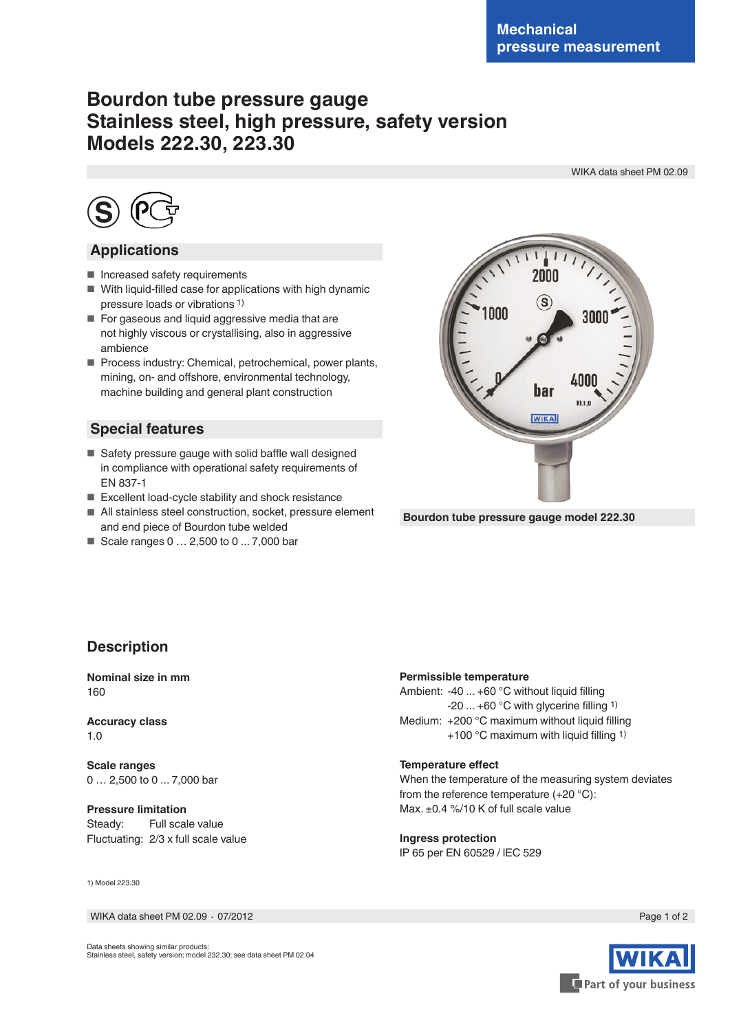# **Bourdon tube pressure gauge Stainless steel, high pressure, safety version Models 222.30, 223.30**

WIKA data sheet PM 02.09



# **Applications**

- Increased safety requirements
- With liquid-filled case for applications with high dynamic pressure loads or vibrations 1)
- For gaseous and liquid aggressive media that are not highly viscous or crystallising, also in aggressive ambience
- Process industry: Chemical, petrochemical, power plants, mining, on- and offshore, environmental technology, machine building and general plant construction

# **Special features**

- Safety pressure gauge with solid baffle wall designed in compliance with operational safety requirements of EN 837-1
- Excellent load-cycle stability and shock resistance
- All stainless steel construction, socket, pressure element and end piece of Bourdon tube welded
- Scale ranges 0 ... 2,500 to 0 ... 7,000 bar



**Bourdon tube pressure gauge model 222.30**

# **Description**

**Nominal size in mm** 160

**Accuracy class** 1.0

**Scale ranges** 0 … 2,500 to 0 ... 7,000 bar

**Pressure limitation** Steady: Full scale value Fluctuating: 2/3 x full scale value

1) Model 223.30

WIKA data sheet PM 02.09 ⋅ 07/2012 Page 1 of 2

## **Permissible temperature**

Ambient: -40 ... +60 °C without liquid filling -20 ... +60 °C with glycerine filling 1) Medium: +200 °C maximum without liquid filling +100 °C maximum with liquid filling 1)

#### **Temperature effect**

When the temperature of the measuring system deviates from the reference temperature (+20 °C): Max. ±0.4 %/10 K of full scale value

#### **Ingress protection**

IP 65 per EN 60529 / lEC 529



Data sheets showing similar products: Stainless steel, safety version; model 232.30; see data sheet PM 02.04